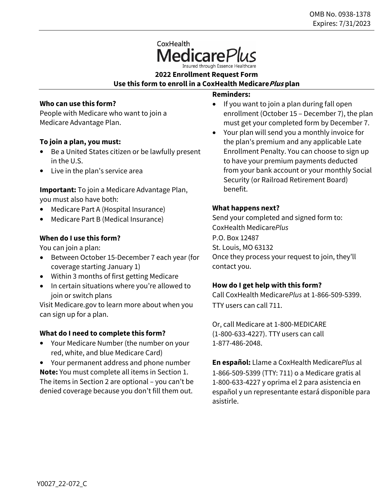# CoxHealth

**2022 Enrollment Request Form Use this form to enroll in a CoxHealth MedicarePlus plan**

# **Who can use this form?**

People with Medicare who want to join a Medicare Advantage Plan.

# **To join a plan, you must:**

- Be a United States citizen or be lawfully present in the U.S.
- Live in the plan's service area

**Important:** To join a Medicare Advantage Plan, you must also have both:

- Medicare Part A (Hospital Insurance)
- Medicare Part B (Medical Insurance)

## **When do I use this form?**

You can join a plan:

- Between October 15-December 7 each year (for coverage starting January 1)
- Within 3 months of first getting Medicare
- In certain situations where you're allowed to join or switch plans

Visit Medicare.gov to learn more about when you can sign up for a plan.

## **What do I need to complete this form?**

• Your Medicare Number (the number on your red, white, and blue Medicare Card)

• Your permanent address and phone number **Note:** You must complete all items in Section 1. The items in Section 2 are optional – you can't be denied coverage because you don't fill them out.

## **Reminders:**

- If you want to join a plan during fall open enrollment (October 15 – December 7), the plan must get your completed form by December 7.
- Your plan will send you a monthly invoice for the plan's premium and any applicable Late Enrollment Penalty. You can choose to sign up to have your premium payments deducted from your bank account or your monthly Social Security (or Railroad Retirement Board) benefit.

## **What happens next?**

Send your completed and signed form to: CoxHealth Medicare*Plus* P.O. Box 12487 St. Louis, MO 63132 Once they process your request to join, they'll contact you.

## **How do I get help with this form?**

Call CoxHealth Medicare*Plus* at 1-866-509-5399. TTY users can call 711.

Or, call Medicare at 1-800-MEDICARE (1-800-633-4227). TTY users can call 1-877-486-2048.

**En español:** Llame a CoxHealth Medicare*Plus* al 1-866-509-5399 (TTY: 711) o a Medicare gratis al 1-800-633-4227 y oprima el 2 para asistencia en español y un representante estará disponible para asistirle.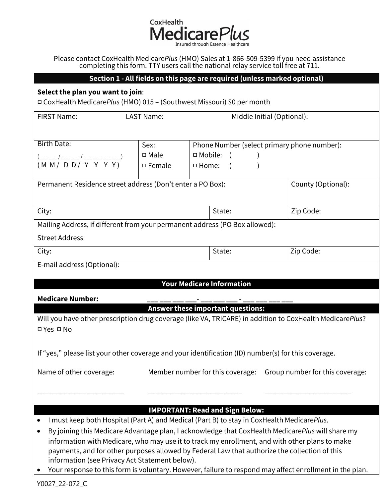CoxHealth MedicarePlus

Please contact CoxHealth Medicare*Plus* (HMO) Sales at 1-866-509-5399 if you need assistance completing this form. TTY users call the national relay service toll free at 711.

| Section 1 - All fields on this page are required (unless marked optional)                                                                       |                   |                  |                                             |                                 |  |
|-------------------------------------------------------------------------------------------------------------------------------------------------|-------------------|------------------|---------------------------------------------|---------------------------------|--|
| Select the plan you want to join:                                                                                                               |                   |                  |                                             |                                 |  |
| □ CoxHealth MedicarePlus (HMO) 015 - (Southwest Missouri) \$0 per month                                                                         |                   |                  |                                             |                                 |  |
| <b>FIRST Name:</b>                                                                                                                              | <b>LAST Name:</b> |                  | Middle Initial (Optional):                  |                                 |  |
|                                                                                                                                                 |                   |                  |                                             |                                 |  |
| <b>Birth Date:</b>                                                                                                                              | Sex:              |                  | Phone Number (select primary phone number): |                                 |  |
| $\frac{(-1)^{2} + (-1)^{2}}{2}$ (M M / D D / Y Y Y Y Y )                                                                                        | $\square$ Male    | $\Box$ Mobile: ( |                                             |                                 |  |
|                                                                                                                                                 | $\square$ Female  | □ Home:          |                                             |                                 |  |
| Permanent Residence street address (Don't enter a PO Box):<br>County (Optional):                                                                |                   |                  |                                             |                                 |  |
|                                                                                                                                                 |                   |                  |                                             |                                 |  |
| Zip Code:<br>City:<br>State:                                                                                                                    |                   |                  |                                             |                                 |  |
| Mailing Address, if different from your permanent address (PO Box allowed):                                                                     |                   |                  |                                             |                                 |  |
| <b>Street Address</b>                                                                                                                           |                   |                  |                                             |                                 |  |
| City:                                                                                                                                           |                   |                  | State:                                      | Zip Code:                       |  |
| E-mail address (Optional):                                                                                                                      |                   |                  |                                             |                                 |  |
|                                                                                                                                                 |                   |                  |                                             |                                 |  |
| <b>Your Medicare Information</b>                                                                                                                |                   |                  |                                             |                                 |  |
| <b>Medicare Number:</b>                                                                                                                         |                   |                  |                                             |                                 |  |
|                                                                                                                                                 |                   |                  | <b>Answer these important questions:</b>    |                                 |  |
| Will you have other prescription drug coverage (like VA, TRICARE) in addition to CoxHealth MedicarePlus?<br>D Yes <sub>D</sub> No               |                   |                  |                                             |                                 |  |
|                                                                                                                                                 |                   |                  |                                             |                                 |  |
| If "yes," please list your other coverage and your identification (ID) number(s) for this coverage.                                             |                   |                  |                                             |                                 |  |
| Member number for this coverage:                                                                                                                |                   |                  |                                             |                                 |  |
| Name of other coverage:                                                                                                                         |                   |                  |                                             | Group number for this coverage: |  |
|                                                                                                                                                 |                   |                  |                                             |                                 |  |
|                                                                                                                                                 |                   |                  |                                             |                                 |  |
| <b>IMPORTANT: Read and Sign Below:</b><br>I must keep both Hospital (Part A) and Medical (Part B) to stay in CoxHealth MedicarePlus.            |                   |                  |                                             |                                 |  |
| By joining this Medicare Advantage plan, I acknowledge that CoxHealth MedicarePlus will share my<br>$\bullet$                                   |                   |                  |                                             |                                 |  |
| information with Medicare, who may use it to track my enrollment, and with other plans to make                                                  |                   |                  |                                             |                                 |  |
| payments, and for other purposes allowed by Federal Law that authorize the collection of this<br>information (see Privacy Act Statement below). |                   |                  |                                             |                                 |  |
| Your response to this form is voluntary. However, failure to respond may affect enrollment in the plan.                                         |                   |                  |                                             |                                 |  |

Y0027\_22-072\_C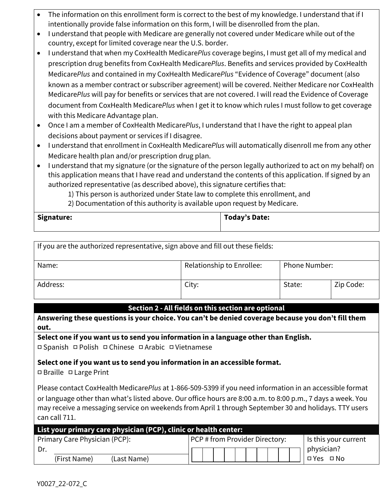- The information on this enrollment form is correct to the best of my knowledge. I understand that if I intentionally provide false information on this form, I will be disenrolled from the plan.
- I understand that people with Medicare are generally not covered under Medicare while out of the country, except for limited coverage near the U.S. border.
- I understand that when my CoxHealth Medicare*Plus* coverage begins, I must get all of my medical and prescription drug benefits from CoxHealth Medicare*Plus*. Benefits and services provided by CoxHealth Medicare*Plus* and contained in my CoxHealth Medicare*Plus* "Evidence of Coverage" document (also known as a member contract or subscriber agreement) will be covered. Neither Medicare nor CoxHealth Medicare*Plus* will pay for benefits or services that are not covered. I will read the Evidence of Coverage document from CoxHealth Medicare*Plus* when I get it to know which rules I must follow to get coverage with this Medicare Advantage plan.
- Once I am a member of CoxHealth Medicare*Plus*, I understand that I have the right to appeal plan decisions about payment or services if I disagree.
- I understand that enrollment in CoxHealth Medicare*Plus* will automatically disenroll me from any other Medicare health plan and/or prescription drug plan.
- I understand that my signature (or the signature of the person legally authorized to act on my behalf) on this application means that I have read and understand the contents of this application. If signed by an authorized representative (as described above), this signature certifies that:

1) This person is authorized under State law to complete this enrollment, and

2) Documentation of this authority is available upon request by Medicare.

|  | Signature: | Today's Date: |
|--|------------|---------------|
|--|------------|---------------|

| If you are the authorized representative, sign above and fill out these fields: |                           |                      |           |  |
|---------------------------------------------------------------------------------|---------------------------|----------------------|-----------|--|
| Name:                                                                           | Relationship to Enrollee: | <b>Phone Number:</b> |           |  |
| Address:                                                                        | City:                     | State:               | Zip Code: |  |

# **Section 2 - All fields on this section are optional**

**Answering these questions is your choice. You can't be denied coverage because you don't fill them out.**

**Select one if you want us to send you information in a language other than English.**

**□** Spanish **□** Polish **□** Chinese **□** Arabic **□** Vietnamese

# **Select one if you want us to send you information in an accessible format.**

**□** Braille **□** Large Print

Please contact CoxHealth Medicare*Plus* at 1-866-509-5399 if you need information in an accessible format or language other than what's listed above. Our office hours are 8:00 a.m. to 8:00 p.m., 7 days a week. You may receive a messaging service on weekends from April 1 through September 30 and holidays. TTY users can call 711.

| List your primary care physician (PCP), clinic or health center: |                                       |                      |
|------------------------------------------------------------------|---------------------------------------|----------------------|
| Primary Care Physician (PCP):                                    | <b>PCP</b> # from Provider Directory: | Is this your current |
|                                                                  |                                       | physician?           |
| (First Name)<br>(Last Name)                                      |                                       | □ Yes □ No           |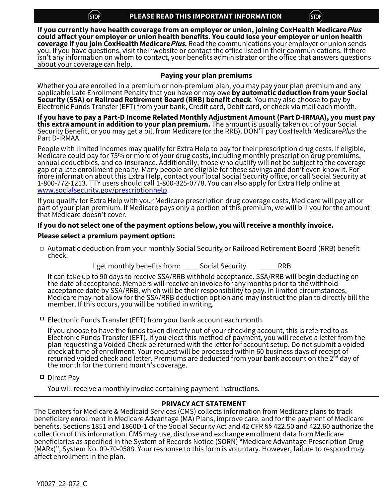$[STOP]$ 

**If you currently have health coverage from an employer or union, joining CoxHealth MedicarePlus could affect your employer or union health benefits. You could lose your employer or union health coverage if you join CoxHealth Medicare***Plus***.** Read the communications your employer or union sends<br>you. If you have questions, visit their website or contact the office listed in their communications. If there isn't any information on whom to contact, your benefits administrator or the office that answers questions about your coverage can help.

## **Paying your plan premiums**

Whether you are enrolled in a premium or non-premium plan, you may pay your plan premium and any<br>applicable Late Enrollment Penalty that you have or may owe **by automatic deduction from your Social** Security (SSA) or Railroad Retirement Board (RRB) benefit check. You may also choose to pay by<br>Electronic Funds Transfer (EFT) from your bank, Credit card, Debit card, or check via mail each month.

**If you have to pay a Part-D Income Related Monthly Adjustment Amount (Part D-IRMAA), you must pay this extra amount in addition to your plan premium.** The amount is usually taken out of your Social Security Benefit, or you may get a bill from Medicare (or the RRB). DON'T pay CoxHealth Medicare*Plus* the Part D-IRMAA.

People with limited incomes may qualify for Extra Help to pay for their prescription drug costs. If eligible,<br>Medicare could pay for 75% or more of your drug costs, including monthly prescription drug premiums,<br>annual dedu more information about this Extra Help, contact your local Social Security office, or call Social Security at 1-800-772-1213. TTY users should call 1-800-325-0778. You can also apply for Extra Help online at www.socialsecurity.gov/prescriptionhelp.

If you qualify for Extra Help with your Medicare prescription drug coverage costs, Medicare will pay all or<br>part of your plan premium. If Medicare pays only a portion of this premium, we will bill you for the amount that Medicare doesn't cover.

## **If you do not select one of the payment options below, you will receive a monthly invoice.**

## **Please select a premium payment option:**

Automatic deduction from your monthly Social Security or Railroad Retirement Board (RRB) benefit **□** check.

I get monthly benefits from: \_\_\_\_ Social Security \_\_\_\_ RRB

It can take up to 90 days to receive SSA/RRB withhold acceptance. SSA/RRB will begin deducting on the date of acceptance. Members will receive an invoice for any months prior to the withhold acceptance date by SSA/RRB, which will be their responsibility to pay. In limited circumstances,<br>Medicare may not allow for the SSA/RRB deduction option and may instruct the plan to directly bill the member. If this occurs, you will be notified in writing.

Electronic Funds Transfer (EFT) from your bank account each month. **□**

If you choose to have the funds taken directly out of your checking account, this is referred to as Electronic Funds Transfer (EFT). If you elect this method of payment, you will receive a letter from the plan requesting a Voided Check be returned with the letter for account setup. Do not submit a voided check at time of enrollment. Your request will be processed within 60 business days of receipt of<br>returned voided check and letter. Premiums are deducted from your bank account on the 2<sup>nd</sup> day of<br>the month for the current

Direct Pay **□**

You will receive a monthly invoice containing payment instructions.

# **PRIVACY ACT STATEMENT**

The Centers for Medicare & Medicaid Services (CMS) collects information from Medicare plans to track beneficiary enrollment in Medicare Advantage (MA) Plans, improve care, and for the payment of Medicare benefits. Sections 1851 and 1860D-1 of the Social Security Act and 42 CFR §§ 422.50 and 422.60 authorize the collection of this information. CMS may use, disclose and exchange enrollment data from Medicare beneficiaries as specified in the System of Records Notice (SORN) "Medicare Advantage Prescription Drug (MARx)", System No. 09-70-0588. Your response to this form is voluntary. However, failure to respond may affect enrollment in the plan.